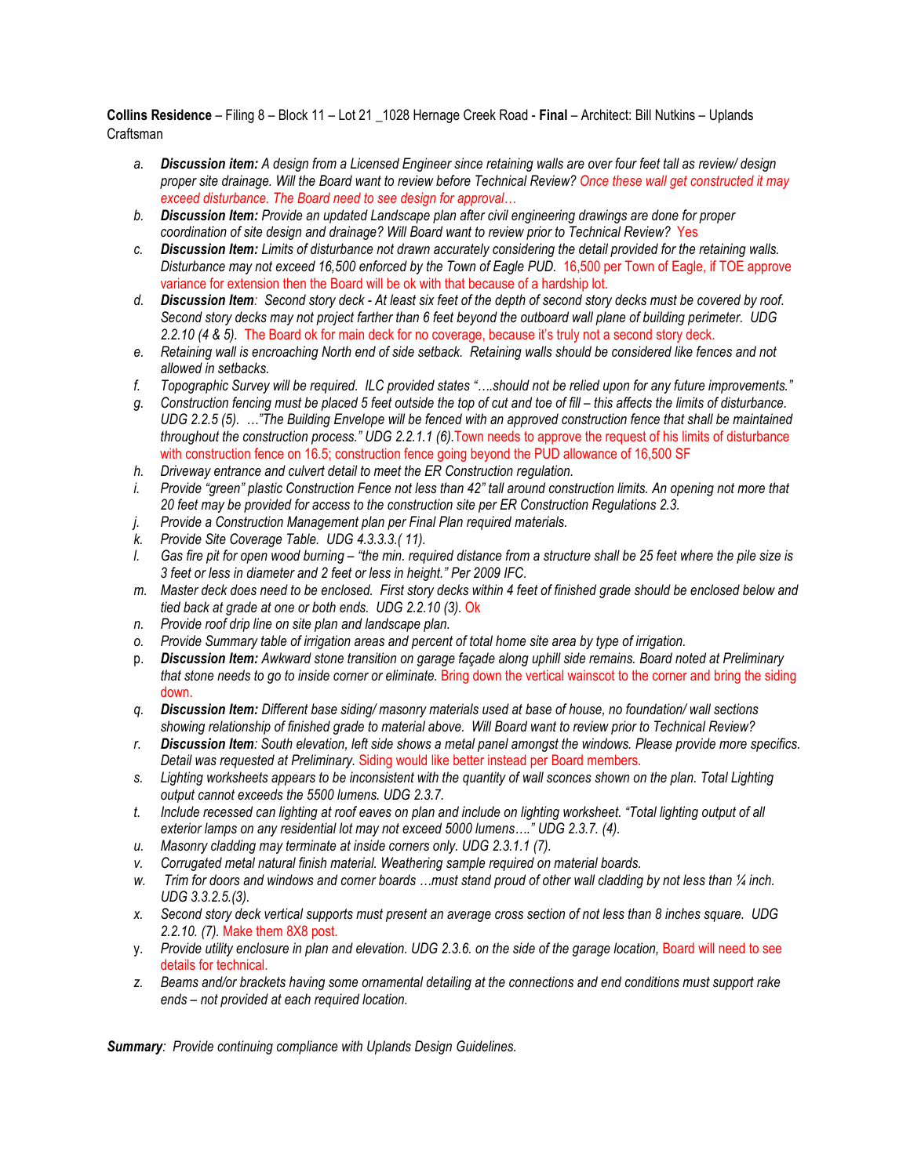**Collins Residence** – Filing 8 – Block 11 – Lot 21 \_1028 Hernage Creek Road - **Final** – Architect: Bill Nutkins – Uplands Craftsman

- *a. Discussion item: A design from a Licensed Engineer since retaining walls are over four feet tall as review/ design proper site drainage. Will the Board want to review before Technical Review? Once these wall get constructed it may exceed disturbance. The Board need to see design for approval…*
- *b. Discussion Item: Provide an updated Landscape plan after civil engineering drawings are done for proper coordination of site design and drainage? Will Board want to review prior to Technical Review?* Yes
- *c. Discussion Item: Limits of disturbance not drawn accurately considering the detail provided for the retaining walls. Disturbance may not exceed 16,500 enforced by the Town of Eagle PUD.* 16,500 per Town of Eagle, if TOE approve variance for extension then the Board will be ok with that because of a hardship lot.
- *d. Discussion Item: Second story deck - At least six feet of the depth of second story decks must be covered by roof. Second story decks may not project farther than 6 feet beyond the outboard wall plane of building perimeter. UDG 2.2.10 (4 & 5).* The Board ok for main deck for no coverage, because it's truly not a second story deck.
- *e. Retaining wall is encroaching North end of side setback. Retaining walls should be considered like fences and not allowed in setbacks.*
- *f. Topographic Survey will be required. ILC provided states "….should not be relied upon for any future improvements."*
- *g. Construction fencing must be placed 5 feet outside the top of cut and toe of fill – this affects the limits of disturbance. UDG 2.2.5 (5). …"The Building Envelope will be fenced with an approved construction fence that shall be maintained throughout the construction process." UDG 2.2.1.1 (6).*Town needs to approve the request of his limits of disturbance with construction fence on 16.5; construction fence going beyond the PUD allowance of 16,500 SF
- *h. Driveway entrance and culvert detail to meet the ER Construction regulation.*
- *i. Provide "green" plastic Construction Fence not less than 42" tall around construction limits. An opening not more that 20 feet may be provided for access to the construction site per ER Construction Regulations 2.3.*
- *j. Provide a Construction Management plan per Final Plan required materials.*
- *k. Provide Site Coverage Table. UDG 4.3.3.3.( 11).*
- *l. Gas fire pit for open wood burning – "the min. required distance from a structure shall be 25 feet where the pile size is 3 feet or less in diameter and 2 feet or less in height." Per 2009 IFC.*
- *m. Master deck does need to be enclosed. First story decks within 4 feet of finished grade should be enclosed below and tied back at grade at one or both ends. UDG 2.2.10 (3).* Ok
- *n. Provide roof drip line on site plan and landscape plan.*
- *o. Provide Summary table of irrigation areas and percent of total home site area by type of irrigation.*
- p. *Discussion Item: Awkward stone transition on garage façade along uphill side remains. Board noted at Preliminary that stone needs to go to inside corner or eliminate. Bring down the vertical wainscot to the corner and bring the siding* down.
- *q. Discussion Item: Different base siding/ masonry materials used at base of house, no foundation/ wall sections showing relationship of finished grade to material above. Will Board want to review prior to Technical Review?*
- *r. Discussion Item: South elevation, left side shows a metal panel amongst the windows. Please provide more specifics. Detail was requested at Preliminary.* Siding would like better instead per Board members.
- *s. Lighting worksheets appears to be inconsistent with the quantity of wall sconces shown on the plan. Total Lighting output cannot exceeds the 5500 lumens. UDG 2.3.7.*
- *t. Include recessed can lighting at roof eaves on plan and include on lighting worksheet. "Total lighting output of all exterior lamps on any residential lot may not exceed 5000 lumens…." UDG 2.3.7. (4).*
- *u. Masonry cladding may terminate at inside corners only. UDG 2.3.1.1 (7).*
- *v. Corrugated metal natural finish material. Weathering sample required on material boards.*
- *w. Trim for doors and windows and corner boards …must stand proud of other wall cladding by not less than ¼ inch. UDG 3.3.2.5.(3).*
- *x. Second story deck vertical supports must present an average cross section of not less than 8 inches square. UDG 2.2.10. (7).* Make them 8X8 post.
- y. Provide utility enclosure in plan and elevation. UDG 2.3.6. on the side of the garage location, Board will need to see details for technical.
- *z. Beams and/or brackets having some ornamental detailing at the connections and end conditions must support rake ends – not provided at each required location.*

*Summary: Provide continuing compliance with Uplands Design Guidelines.*